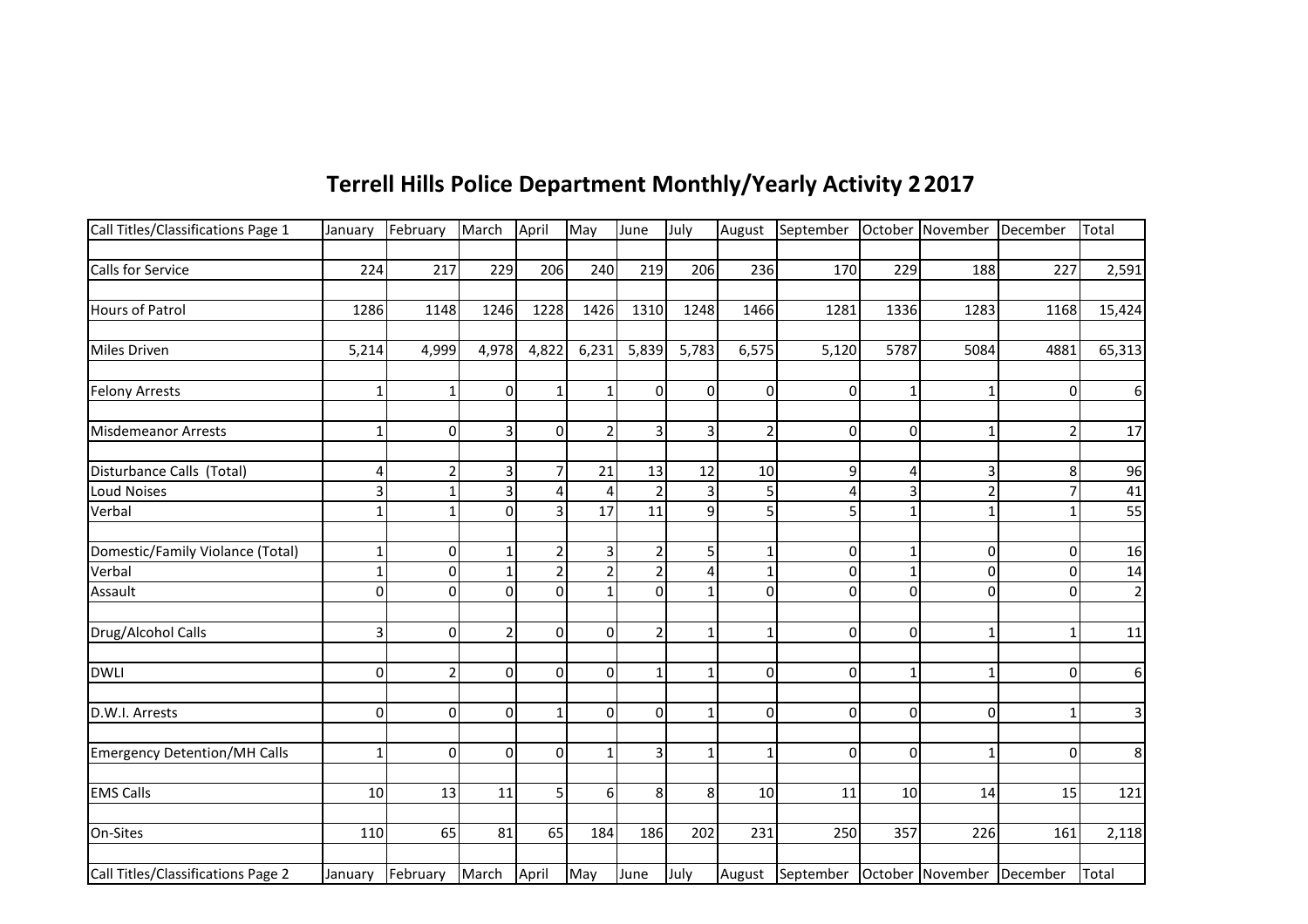| Terrell Hills Police Department Monthly/Yearly Activity 2 2017 |  |
|----------------------------------------------------------------|--|
|----------------------------------------------------------------|--|

| Call Titles/Classifications Page 1  | January      | February | March          | April          | May            | June           | July           |                | August September October November December |              |          |                | Total       |
|-------------------------------------|--------------|----------|----------------|----------------|----------------|----------------|----------------|----------------|--------------------------------------------|--------------|----------|----------------|-------------|
|                                     |              |          |                |                |                |                |                |                |                                            |              |          |                |             |
| <b>Calls for Service</b>            | 224          | 217      | 229            | 206            | 240            | 219            | 206            | 236            | 170                                        | 229          | 188      | 227            | 2,591       |
|                                     |              |          |                |                |                |                |                |                |                                            |              |          |                |             |
| <b>Hours of Patrol</b>              | 1286         | 1148     | 1246           | 1228           | 1426           | 1310           | 1248           | 1466           | 1281                                       | 1336         | 1283     | 1168           | 15,424      |
| <b>Miles Driven</b>                 | 5,214        | 4,999    | 4,978          | 4,822          | 6,231          | 5,839          | 5,783          | 6,575          | 5,120                                      | 5787         | 5084     | 4881           | 65,313      |
| <b>Felony Arrests</b>               |              |          | $\Omega$       |                | $\mathbf{1}$   | $\overline{0}$ | $\overline{0}$ | $\overline{0}$ | 0                                          |              |          | 0              | 6           |
| <b>Misdemeanor Arrests</b>          |              | $\Omega$ |                | $\Omega$       | $\overline{2}$ | 3              | 3              | $\overline{2}$ | $\mathbf 0$                                | $\Omega$     |          | $\overline{2}$ | 17          |
| Disturbance Calls (Total)           | 4            |          |                | 7              | 21             | 13             | 12             | 10             | 9                                          | 4            |          | 8              | 96          |
| <b>Loud Noises</b>                  |              |          | 3              | $\overline{4}$ | 4              | $\overline{2}$ | 3              | 5              | 4                                          |              |          |                | 41          |
| Verbal                              |              |          | $\Omega$       | $\overline{3}$ | 17             | 11             | $\overline{9}$ | 5              | 5                                          |              | 1        |                | 55          |
| Domestic/Family Violance (Total)    |              | $\Omega$ |                | 2              | $\overline{3}$ | $\overline{2}$ | 5              | $\mathbf{1}$   | 0                                          |              | $\Omega$ | $\mathbf{0}$   | 16          |
| Verbal                              |              | 0        |                | $\overline{2}$ | $\overline{2}$ | $\overline{2}$ | 4              | $\mathbf{1}$   | 0                                          |              | 0        | 0              | 14          |
| Assault                             | $\Omega$     | $\Omega$ | $\Omega$       | $\Omega$       | $\mathbf{1}$   | $\Omega$       | $\mathbf{1}$   | $\Omega$       | $\overline{0}$                             | $\Omega$     | $\Omega$ | $\Omega$       | $\mathbf 2$ |
| Drug/Alcohol Calls                  | 3            | $\Omega$ | $\overline{2}$ | $\Omega$       | $\Omega$       | $\overline{2}$ | $\mathbf{1}$   | $\mathbf{1}$   | 0                                          | $\Omega$     | 1        | 1              | 11          |
| <b>DWLI</b>                         | $\Omega$     | 2        | $\Omega$       | $\Omega$       | $\Omega$       | $\mathbf{1}$   | $\mathbf{1}$   | $\overline{0}$ | 0                                          | 1            | 1        | $\mathbf{0}$   | 6           |
| D.W.I. Arrests                      | $\mathbf{0}$ | $\Omega$ | $\Omega$       |                | $\Omega$       | $\overline{0}$ | 1              | $\overline{0}$ | 0                                          | 0            | $\Omega$ | 1              | 3           |
| <b>Emergency Detention/MH Calls</b> | 1            | $\Omega$ | $\Omega$       | $\Omega$       | $\mathbf{1}$   | 3              | 1              | 1              | $\overline{0}$                             | $\mathbf{0}$ |          | $\Omega$       | 8           |
| <b>EMS Calls</b>                    | 10           | 13       | 11             | 5              | $6 \mid$       | 8              | 8 <sup>1</sup> | 10             | 11                                         | 10           | 14       | 15             | 121         |
| On-Sites                            | 110          | 65       | 81             | 65             | 184            | 186            | 202            | 231            | 250                                        | 357          | 226      | 161            | 2,118       |
| Call Titles/Classifications Page 2  | January      | February | March          | April          | May            | June           | July           |                | August September October November December |              |          |                | Total       |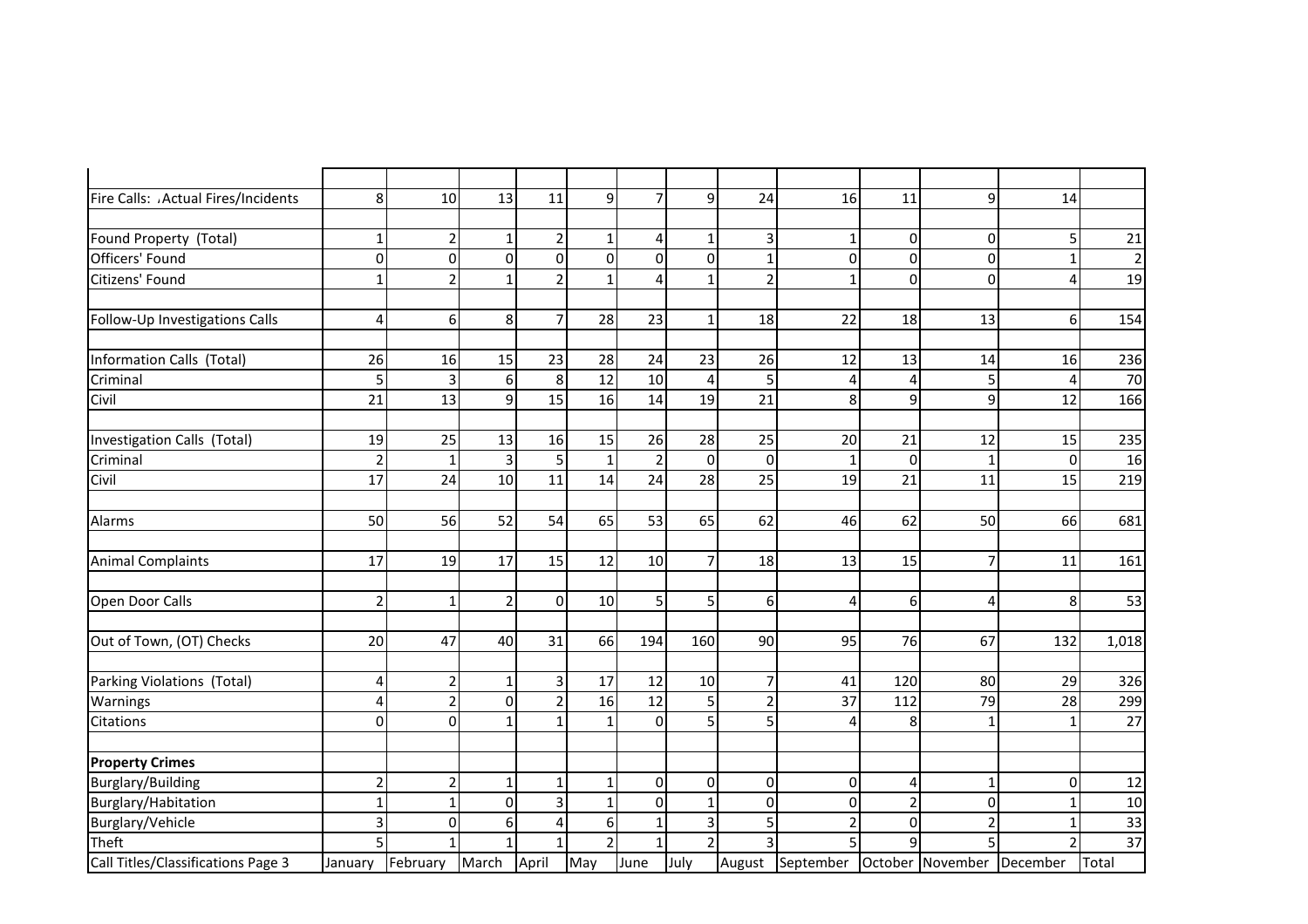| Fire Calls: . Actual Fires/Incidents | 8              | 10             | 13             | 11             | $\overline{9}$ | $\overline{7}$ | 9                       | 24             | 16                                         | 11             | 9              | 14             |             |
|--------------------------------------|----------------|----------------|----------------|----------------|----------------|----------------|-------------------------|----------------|--------------------------------------------|----------------|----------------|----------------|-------------|
|                                      |                |                |                |                |                |                |                         |                |                                            |                |                |                |             |
| Found Property (Total)               | $\mathbf{1}$   | $\overline{2}$ |                | 2              | 1              | 4              | 1                       | 3              | $\mathbf{1}$                               | $\overline{0}$ | $\Omega$       | 5              | 21          |
| Officers' Found                      | $\mathbf 0$    | $\overline{0}$ | $\Omega$       | $\Omega$       | $\mathbf 0$    | $\overline{0}$ | $\mathbf 0$             | $\mathbf{1}$   | $\overline{0}$                             | $\overline{0}$ | $\Omega$       | $\mathbf{1}$   | $\mathbf 2$ |
| Citizens' Found                      | $\mathbf{1}$   | $\overline{2}$ | 1 <sup>1</sup> | $\overline{a}$ | $\mathbf{1}$   | 4              | $\mathbf{1}$            | $\overline{2}$ | $\mathbf{1}$                               | $\overline{0}$ | $\overline{0}$ | $\overline{4}$ | 19          |
|                                      |                |                |                |                |                |                |                         |                |                                            |                |                |                |             |
| Follow-Up Investigations Calls       | $\overline{4}$ | $6 \mid$       | 8 <sup>1</sup> | $\overline{7}$ | 28             | 23             | $\mathbf{1}$            | 18             | 22                                         | 18             | 13             | 6              | 154         |
| Information Calls (Total)            | 26             | 16             | 15             | 23             | 28             | 24             | 23                      | 26             | 12                                         | 13             | 14             | 16             | 236         |
| Criminal                             | 5              | 3              | 6 <sup>1</sup> | 8              | 12             | 10             | 4                       | 5              | 4                                          | $\overline{4}$ |                | $\overline{4}$ | 70          |
| Civil                                | 21             | 13             | $\overline{9}$ | 15             | 16             | 14             | 19                      | 21             | 8                                          | $\overline{9}$ | 9              | 12             | 166         |
| Investigation Calls (Total)          | 19             | 25             | 13             | 16             | 15             | 26             | 28                      | 25             | 20                                         | 21             | 12             | 15             | 235         |
| Criminal                             | $\overline{2}$ | $\mathbf{1}$   | 3              | 5              | $\mathbf 1$    | $\mathbf 2$    | $\pmb{0}$               | $\overline{0}$ | $\mathbf{1}$                               | $\overline{0}$ | 1              | $\mathbf 0$    | 16          |
| Civil                                | 17             | 24             | 10             | 11             | 14             | 24             | 28                      | 25             | 19                                         | 21             | 11             | 15             | 219         |
|                                      |                |                |                |                |                |                |                         |                |                                            |                |                |                |             |
| Alarms                               | 50             | 56             | 52             | 54             | 65             | 53             | 65                      | 62             | 46                                         | 62             | 50             | 66             | 681         |
| <b>Animal Complaints</b>             | 17             | 19             | 17             | 15             | 12             | 10             | $\overline{7}$          | 18             | 13                                         | 15             | 7              | 11             | 161         |
| Open Door Calls                      | $\overline{2}$ | 1              | $\overline{2}$ | $\overline{0}$ | 10             | 5 <sup>1</sup> | 5                       | $6 \mid$       | 4                                          | $6 \mid$       | 4              | 8              | 53          |
| Out of Town, (OT) Checks             | 20             | 47             | 40             | 31             | 66             | 194            | 160                     | 90             | 95                                         | 76             | 67             | 132            | 1,018       |
| Parking Violations (Total)           | $\overline{4}$ | $\overline{2}$ | $\mathbf{1}$   | 3              | 17             | 12             | 10                      | $\overline{7}$ | 41                                         | 120            | 80             | 29             | 326         |
| Warnings                             | $\overline{4}$ | $\overline{2}$ | $\overline{0}$ | 2              | 16             | 12             | 5                       | $\overline{2}$ | 37                                         | 112            | 79             | 28             | 299         |
| Citations                            | $\Omega$       | ΩI             | $\mathbf{1}$   |                | $\mathbf{1}$   | $\overline{0}$ | $\overline{\mathbf{5}}$ | 5              | 4                                          | 8              | $\mathbf{1}$   | $\mathbf{1}$   | 27          |
| <b>Property Crimes</b>               |                |                |                |                |                |                |                         |                |                                            |                |                |                |             |
| <b>Burglary/Building</b>             | $\overline{2}$ | $\overline{2}$ | $\mathbf{1}$   |                | $\mathbf{1}$   | $\overline{0}$ | $\overline{0}$          | $\overline{0}$ | $\overline{0}$                             | $\vert$        | 1              | $\mathbf 0$    | 12          |
| Burglary/Habitation                  | $\mathbf{1}$   | 1              | $\Omega$       | 3              | $\mathbf{1}$   | $\overline{0}$ | $\mathbf{1}$            | $\overline{0}$ | $\overline{0}$                             | $\overline{2}$ | $\Omega$       | $\mathbf{1}$   | 10          |
| Burglary/Vehicle                     | $\overline{3}$ | $\Omega$       | 6 <sup>1</sup> | 4              | 6              | $\mathbf 1$    | υ                       | 5              | $\overline{2}$                             | $\overline{0}$ | $\mathcal{P}$  | $\mathbf{1}$   | 33          |
| Theft                                | 5              |                |                |                | $\overline{2}$ | $\mathbf{1}$   | $\overline{2}$          | $\overline{3}$ | 5                                          | $\mathbf{q}$   |                | $\overline{2}$ | 37          |
| Call Titles/Classifications Page 3   | January        | February       | March          | April          | May            | June           | July                    |                | August September October November December |                |                |                | Total       |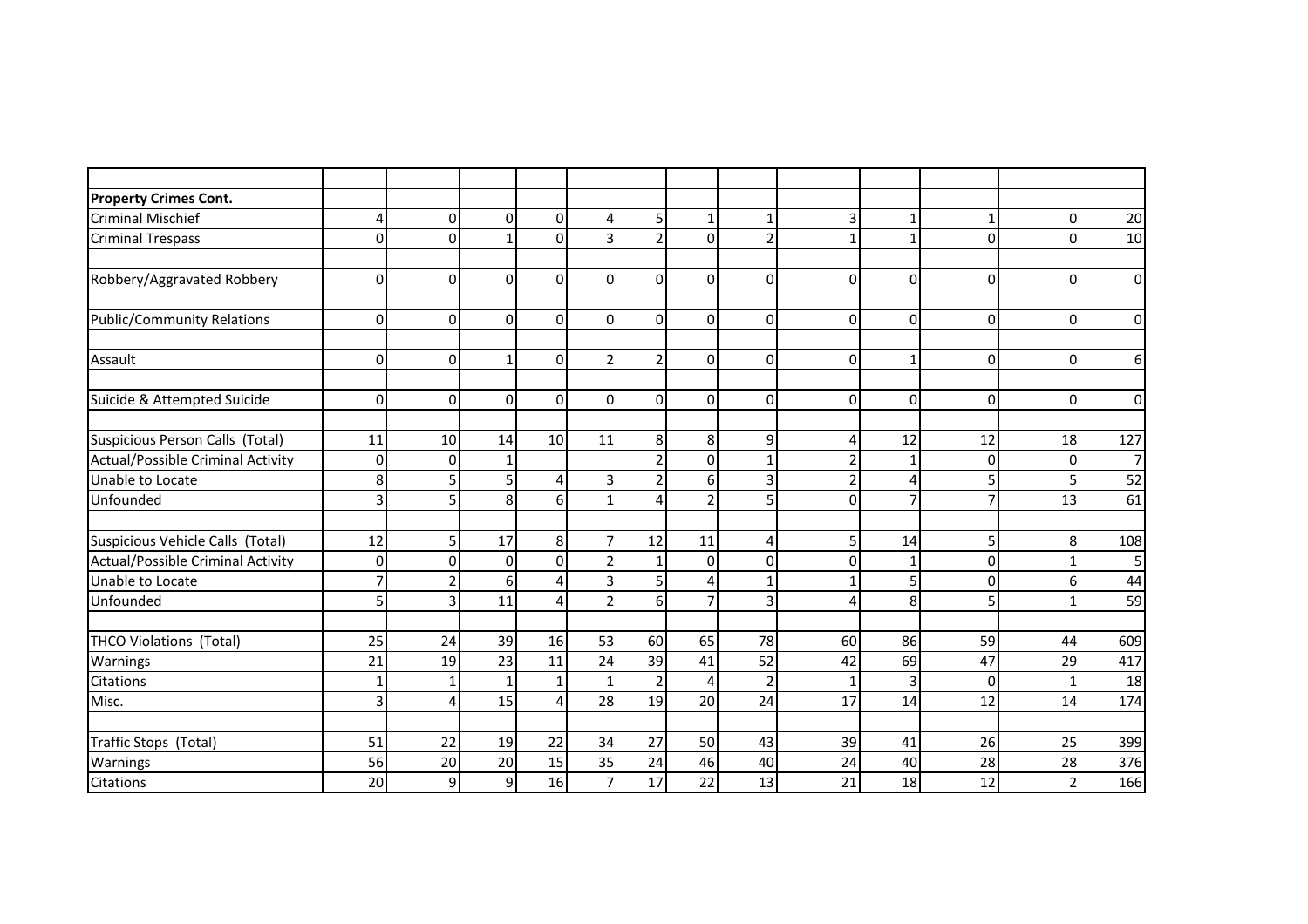| <b>Property Crimes Cont.</b>      |                |                         |          |                 |                |                |                |                |                |                |            |                |                |
|-----------------------------------|----------------|-------------------------|----------|-----------------|----------------|----------------|----------------|----------------|----------------|----------------|------------|----------------|----------------|
| <b>Criminal Mischief</b>          | $\overline{4}$ | $\Omega$                | $\Omega$ | $\Omega$        | 4              | 5 <sup>1</sup> | $\mathbf{1}$   |                | 3              |                |            | 0              | 20             |
| <b>Criminal Trespass</b>          | $\mathbf{0}$   | $\Omega$                |          | $\Omega$        | 3              | $\overline{2}$ | 0              | $\overline{2}$ | 1              | 1              | $\sqrt{ }$ | 0              | 10             |
|                                   |                |                         |          |                 |                |                |                |                |                |                |            |                |                |
| Robbery/Aggravated Robbery        | $\mathbf 0$    | 0                       | $\Omega$ | $\Omega$        | $\Omega$       | $\Omega$       | 0              | $\mathbf 0$    | 0              | $\Omega$       | $\Omega$   | 0              | 0              |
| <b>Public/Community Relations</b> | $\mathbf{0}$   | $\Omega$                | $\Omega$ | $\Omega$        | $\Omega$       | $\Omega$       | $\Omega$       | $\mathbf{0}$   | 0              | $\Omega$       | $\Omega$   | $\Omega$       | $\overline{0}$ |
| Assault                           | $\mathbf{0}$   | $\Omega$                | 1        | $\Omega$        | $\overline{2}$ | $\overline{2}$ | $\Omega$       | $\Omega$       | 0              | 1              | $\sqrt{ }$ | 0              | 6              |
| Suicide & Attempted Suicide       | 0              | 0                       | $\Omega$ | $\Omega$        | $\Omega$       | $\Omega$       | 0              | $\mathbf 0$    | 0              | $\Omega$       | 0          | 0              | $\mathbf 0$    |
| Suspicious Person Calls (Total)   | 11             | 10                      | 14       | 10              | 11             | 8              | 8              | 9              | 4              | 12             | 12         | 18             | 127            |
| Actual/Possible Criminal Activity | $\mathbf{0}$   | $\Omega$                |          |                 |                | $\overline{2}$ | 0              | $\mathbf{1}$   | $\overline{2}$ | 1              | ſ          | $\Omega$       | $\overline{7}$ |
| Unable to Locate                  | 8              |                         |          | $\overline{4}$  | 3              | $\overline{2}$ | 6              | 3              | $\overline{2}$ | 4              | 5          | 5              | 52             |
| Unfounded                         | 3              | 5                       | 8        | $6 \mid$        | $\mathbf{1}$   | $\overline{4}$ | $\overline{2}$ | 5              | 0              | $\overline{7}$ | 7          | 13             | 61             |
| Suspicious Vehicle Calls (Total)  | 12             | 5                       | 17       | 8 <sup>1</sup>  | $\overline{7}$ | 12             | 11             | $\overline{4}$ | 5              | 14             | 5          | 8              | 108            |
| Actual/Possible Criminal Activity | $\mathbf 0$    | $\Omega$                | $\Omega$ | $\Omega$        | $\mathcal{P}$  | $\mathbf{1}$   | $\Omega$       | $\mathbf{0}$   | 0              |                | C          |                | 5              |
| Unable to Locate                  | $\overline{7}$ |                         | 6        | $\overline{4}$  | 3              | $\overline{5}$ | 4              | $\mathbf{1}$   |                | 5              |            | 6              | 44             |
| Unfounded                         | 5              | $\overline{\mathbf{3}}$ | 11       | $\overline{4}$  | $\overline{2}$ | $6 \mid$       | $\overline{7}$ | 3              | Δ              | 8              | 5          | 1              | 59             |
| THCO Violations (Total)           | 25             | 24                      | 39       | 16              | 53             | 60             | 65             | 78             | 60             | 86             | 59         | 44             | 609            |
| Warnings                          | 21             | 19                      | 23       | 11              | 24             | 39             | 41             | 52             | 42             | 69             | 47         | 29             | 417            |
| <b>Citations</b>                  | $\mathbf{1}$   |                         |          | $1\overline{ }$ | $\mathbf{1}$   | $\overline{2}$ | 4              | $\overline{2}$ | 1              | 3              | $\Omega$   | 1              | 18             |
| Misc.                             | 3              | Δ                       | 15       | $\overline{4}$  | 28             | 19             | 20             | 24             | 17             | 14             | 12         | 14             | 174            |
| Traffic Stops (Total)             | 51             | 22                      | 19       | 22              | 34             | 27             | 50             | 43             | 39             | 41             | 26         | 25             | 399            |
| Warnings                          | 56             | 20                      | 20       | 15              | 35             | 24             | 46             | 40             | 24             | 40             | 28         | 28             | 376            |
| Citations                         | 20             | 9                       | 9        | 16              | $\overline{7}$ | 17             | 22             | 13             | 21             | 18             | 12         | $\overline{2}$ | 166            |